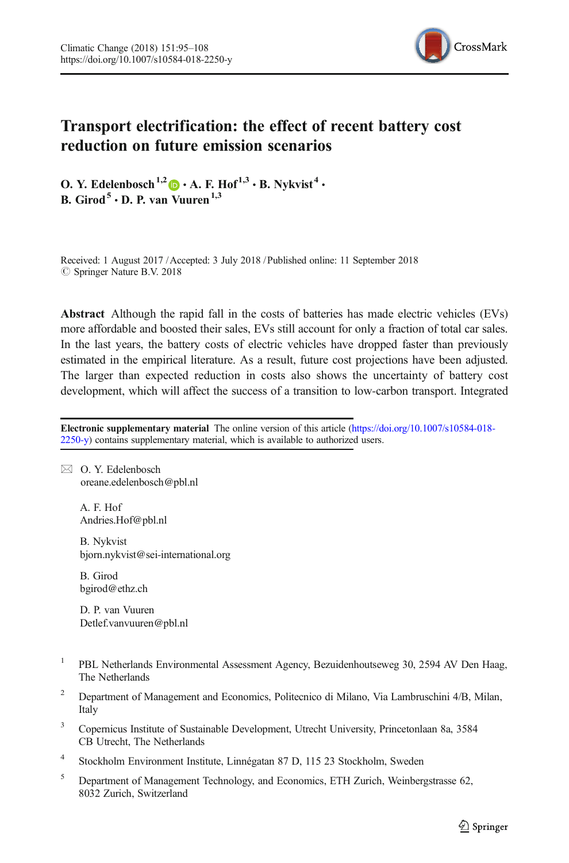

# Transport electrification: the effect of recent battery cost reduction on future emission scenarios

O. Y. Edelenbosch<sup>1,2</sup>  $\bullet$  **·** A. F. Hof<sup>1,3</sup> · B. Nykvist<sup>4</sup> · B. Girod<sup>5</sup>  $\cdot$  D. P. van Vuuren<sup>1,3</sup>

Received: 1 August 2017 /Accepted: 3 July 2018 /Published online: 11 September 2018  $\circ$  Springer Nature B.V. 2018

Abstract Although the rapid fall in the costs of batteries has made electric vehicles (EVs) more affordable and boosted their sales, EVs still account for only a fraction of total car sales. In the last years, the battery costs of electric vehicles have dropped faster than previously estimated in the empirical literature. As a result, future cost projections have been adjusted. The larger than expected reduction in costs also shows the uncertainty of battery cost development, which will affect the success of a transition to low-carbon transport. Integrated

Electronic supplementary material The online version of this article ([https://doi.org/10.1007/s10584-018-](https://doi.org/10.1007/s10584-018-2250-y) [2250-y\)](https://doi.org/10.1007/s10584-018-2250-y) contains supplementary material, which is available to authorized users.

 $\boxtimes$  O. Y. Edelenbosch [oreane.edelenbosch@pbl.nl](mailto:oreane.edelenbosch@pbl.nl)

> A. F. Hof Andries.Hof@pbl.nl

B. Nykvist bjorn.nykvist@sei-international.org

B. Girod bgirod@ethz.ch

D. P. van Vuuren Detlef.vanvuuren@pbl.nl

- <sup>1</sup> PBL Netherlands Environmental Assessment Agency, Bezuidenhoutseweg 30, 2594 AV Den Haag, The Netherlands
- <sup>2</sup> Department of Management and Economics, Politecnico di Milano, Via Lambruschini 4/B, Milan, Italy
- <sup>3</sup> Copernicus Institute of Sustainable Development, Utrecht University, Princetonlaan 8a, 3584 CB Utrecht, The Netherlands
- <sup>4</sup> Stockholm Environment Institute, Linnégatan 87 D, 115 23 Stockholm, Sweden
- <sup>5</sup> Department of Management Technology, and Economics, ETH Zurich, Weinbergstrasse 62, 8032 Zurich, Switzerland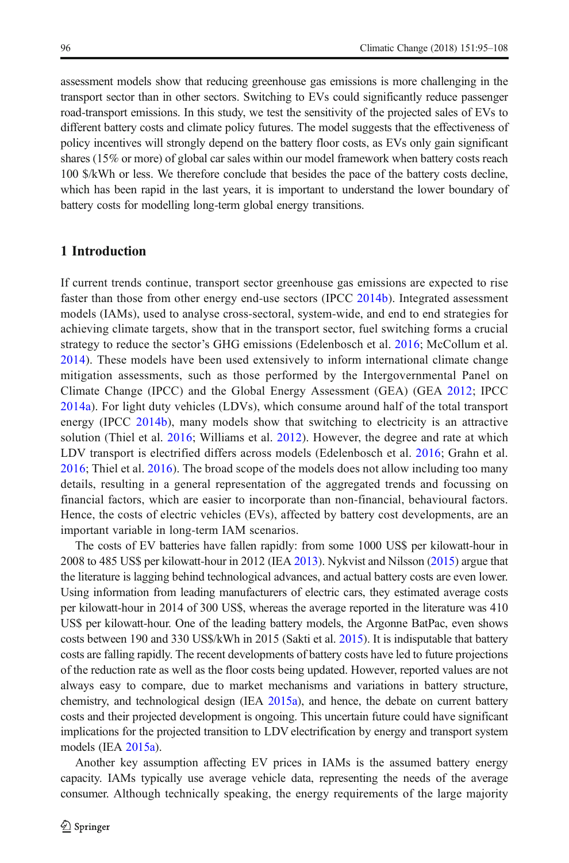assessment models show that reducing greenhouse gas emissions is more challenging in the transport sector than in other sectors. Switching to EVs could significantly reduce passenger road-transport emissions. In this study, we test the sensitivity of the projected sales of EVs to different battery costs and climate policy futures. The model suggests that the effectiveness of policy incentives will strongly depend on the battery floor costs, as EVs only gain significant shares (15% or more) of global car sales within our model framework when battery costs reach 100 \$/kWh or less. We therefore conclude that besides the pace of the battery costs decline, which has been rapid in the last years, it is important to understand the lower boundary of battery costs for modelling long-term global energy transitions.

# 1 Introduction

If current trends continue, transport sector greenhouse gas emissions are expected to rise faster than those from other energy end-use sectors (IPCC [2014b\)](#page-12-0). Integrated assessment models (IAMs), used to analyse cross-sectoral, system-wide, and end to end strategies for achieving climate targets, show that in the transport sector, fuel switching forms a crucial strategy to reduce the sector's GHG emissions (Edelenbosch et al. [2016](#page-12-0); McCollum et al. [2014](#page-12-0)). These models have been used extensively to inform international climate change mitigation assessments, such as those performed by the Intergovernmental Panel on Climate Change (IPCC) and the Global Energy Assessment (GEA) (GEA [2012;](#page-12-0) IPCC [2014a](#page-12-0)). For light duty vehicles (LDVs), which consume around half of the total transport energy (IPCC [2014b](#page-12-0)), many models show that switching to electricity is an attractive solution (Thiel et al. [2016;](#page-12-0) Williams et al. [2012](#page-13-0)). However, the degree and rate at which LDV transport is electrified differs across models (Edelenbosch et al. [2016;](#page-12-0) Grahn et al. [2016](#page-12-0); Thiel et al. [2016](#page-12-0)). The broad scope of the models does not allow including too many details, resulting in a general representation of the aggregated trends and focussing on financial factors, which are easier to incorporate than non-financial, behavioural factors. Hence, the costs of electric vehicles (EVs), affected by battery cost developments, are an important variable in long-term IAM scenarios.

The costs of EV batteries have fallen rapidly: from some 1000 US\$ per kilowatt-hour in 2008 to 485 US\$ per kilowatt-hour in 2012 (IEA [2013\)](#page-12-0). Nykvist and Nilsson [\(2015](#page-12-0)) argue that the literature is lagging behind technological advances, and actual battery costs are even lower. Using information from leading manufacturers of electric cars, they estimated average costs per kilowatt-hour in 2014 of 300 US\$, whereas the average reported in the literature was 410 US\$ per kilowatt-hour. One of the leading battery models, the Argonne BatPac, even shows costs between 190 and 330 US\$/kWh in 2015 (Sakti et al. [2015\)](#page-12-0). It is indisputable that battery costs are falling rapidly. The recent developments of battery costs have led to future projections of the reduction rate as well as the floor costs being updated. However, reported values are not always easy to compare, due to market mechanisms and variations in battery structure, chemistry, and technological design (IEA [2015a\)](#page-12-0), and hence, the debate on current battery costs and their projected development is ongoing. This uncertain future could have significant implications for the projected transition to LDV electrification by energy and transport system models (IEA [2015a\)](#page-12-0).

Another key assumption affecting EV prices in IAMs is the assumed battery energy capacity. IAMs typically use average vehicle data, representing the needs of the average consumer. Although technically speaking, the energy requirements of the large majority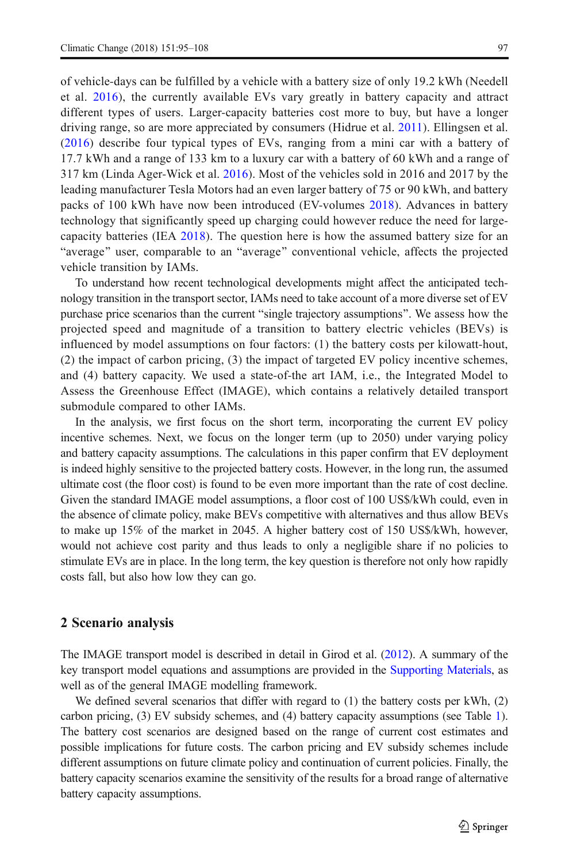of vehicle-days can be fulfilled by a vehicle with a battery size of only 19.2 kWh (Needell et al. [2016](#page-12-0)), the currently available EVs vary greatly in battery capacity and attract different types of users. Larger-capacity batteries cost more to buy, but have a longer driving range, so are more appreciated by consumers (Hidrue et al. [2011\)](#page-12-0). Ellingsen et al. ([2016](#page-12-0)) describe four typical types of EVs, ranging from a mini car with a battery of 17.7 kWh and a range of 133 km to a luxury car with a battery of 60 kWh and a range of 317 km (Linda Ager-Wick et al. [2016\)](#page-12-0). Most of the vehicles sold in 2016 and 2017 by the leading manufacturer Tesla Motors had an even larger battery of 75 or 90 kWh, and battery packs of 100 kWh have now been introduced (EV-volumes [2018\)](#page-12-0). Advances in battery technology that significantly speed up charging could however reduce the need for largecapacity batteries (IEA [2018\)](#page-12-0). The question here is how the assumed battery size for an "average" user, comparable to an "average" conventional vehicle, affects the projected vehicle transition by IAMs.

To understand how recent technological developments might affect the anticipated technology transition in the transport sector, IAMs need to take account of a more diverse set of EV purchase price scenarios than the current "single trajectory assumptions". We assess how the projected speed and magnitude of a transition to battery electric vehicles (BEVs) is influenced by model assumptions on four factors: (1) the battery costs per kilowatt-hout, (2) the impact of carbon pricing, (3) the impact of targeted EV policy incentive schemes, and (4) battery capacity. We used a state-of-the art IAM, i.e., the Integrated Model to Assess the Greenhouse Effect (IMAGE), which contains a relatively detailed transport submodule compared to other IAMs.

In the analysis, we first focus on the short term, incorporating the current EV policy incentive schemes. Next, we focus on the longer term (up to 2050) under varying policy and battery capacity assumptions. The calculations in this paper confirm that EV deployment is indeed highly sensitive to the projected battery costs. However, in the long run, the assumed ultimate cost (the floor cost) is found to be even more important than the rate of cost decline. Given the standard IMAGE model assumptions, a floor cost of 100 US\$/kWh could, even in the absence of climate policy, make BEVs competitive with alternatives and thus allow BEVs to make up 15% of the market in 2045. A higher battery cost of 150 US\$/kWh, however, would not achieve cost parity and thus leads to only a negligible share if no policies to stimulate EVs are in place. In the long term, the key question is therefore not only how rapidly costs fall, but also how low they can go.

#### 2 Scenario analysis

The IMAGE transport model is described in detail in Girod et al. [\(2012\)](#page-12-0). A summary of the key transport model equations and assumptions are provided in the Supporting Materials, as well as of the general IMAGE modelling framework.

We defined several scenarios that differ with regard to (1) the battery costs per kWh, (2) carbon pricing, (3) EV subsidy schemes, and (4) battery capacity assumptions (see Table [1](#page-3-0)). The battery cost scenarios are designed based on the range of current cost estimates and possible implications for future costs. The carbon pricing and EV subsidy schemes include different assumptions on future climate policy and continuation of current policies. Finally, the battery capacity scenarios examine the sensitivity of the results for a broad range of alternative battery capacity assumptions.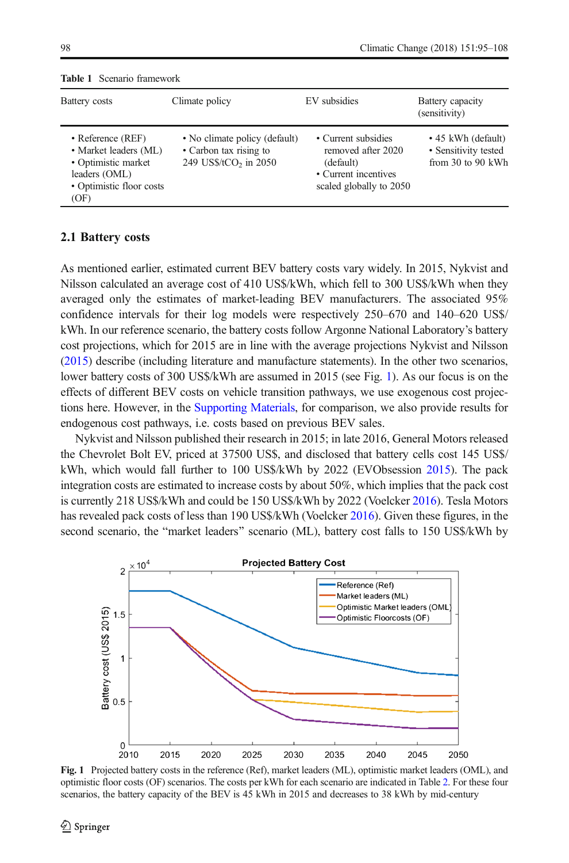| Battery costs                                                                                                          | Climate policy                                                                               | EV subsidies                                                                                              | Battery capacity<br>(sensitivity)                                     |
|------------------------------------------------------------------------------------------------------------------------|----------------------------------------------------------------------------------------------|-----------------------------------------------------------------------------------------------------------|-----------------------------------------------------------------------|
| • Reference (REF)<br>• Market leaders (ML)<br>• Optimistic market<br>leaders (OML)<br>• Optimistic floor costs<br>(OF) | • No climate policy (default)<br>• Carbon tax rising to<br>249 US\$/tCO <sub>2</sub> in 2050 | • Current subsidies<br>removed after 2020<br>(default)<br>• Current incentives<br>scaled globally to 2050 | $\cdot$ 45 kWh (default)<br>• Sensitivity tested<br>from 30 to 90 kWh |

<span id="page-3-0"></span>Table 1 Scenario framework

#### 2.1 Battery costs

As mentioned earlier, estimated current BEV battery costs vary widely. In 2015, Nykvist and Nilsson calculated an average cost of 410 US\$/kWh, which fell to 300 US\$/kWh when they averaged only the estimates of market-leading BEV manufacturers. The associated 95% confidence intervals for their log models were respectively 250–670 and 140–620 US\$/ kWh. In our reference scenario, the battery costs follow Argonne National Laboratory's battery cost projections, which for 2015 are in line with the average projections Nykvist and Nilsson ([2015](#page-12-0)) describe (including literature and manufacture statements). In the other two scenarios, lower battery costs of 300 US\$/kWh are assumed in 2015 (see Fig. 1). As our focus is on the effects of different BEV costs on vehicle transition pathways, we use exogenous cost projections here. However, in the Supporting Materials, for comparison, we also provide results for endogenous cost pathways, i.e. costs based on previous BEV sales.

Nykvist and Nilsson published their research in 2015; in late 2016, General Motors released the Chevrolet Bolt EV, priced at 37500 US\$, and disclosed that battery cells cost 145 US\$/ kWh, which would fall further to 100 US\$/kWh by 2022 (EVObsession [2015](#page-12-0)). The pack integration costs are estimated to increase costs by about 50%, which implies that the pack cost is currently 218 US\$/kWh and could be 150 US\$/kWh by 2022 (Voelcker [2016](#page-13-0)). Tesla Motors has revealed pack costs of less than 190 US\$/kWh (Voelcker [2016](#page-13-0)). Given these figures, in the second scenario, the "market leaders" scenario (ML), battery cost falls to 150 US\$/kWh by



Fig. 1 Projected battery costs in the reference (Ref), market leaders (ML), optimistic market leaders (OML), and optimistic floor costs (OF) scenarios. The costs per kWh for each scenario are indicated in Table [2](#page-4-0). For these four scenarios, the battery capacity of the BEV is 45 kWh in 2015 and decreases to 38 kWh by mid-century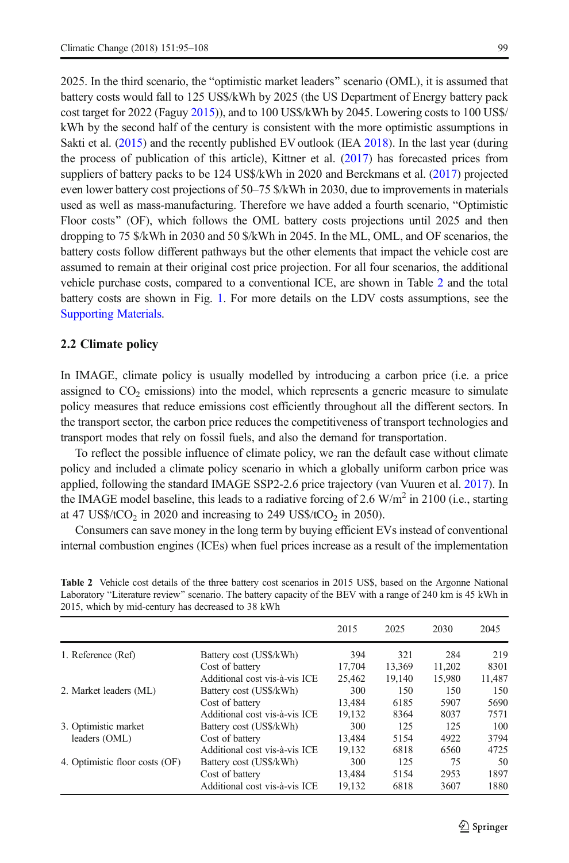<span id="page-4-0"></span>2025. In the third scenario, the "optimistic market leaders" scenario (OML), it is assumed that battery costs would fall to 125 US\$/kWh by 2025 (the US Department of Energy battery pack cost target for 2022 (Faguy [2015](#page-12-0))), and to 100 US\$/kWh by 2045. Lowering costs to 100 US\$/ kWh by the second half of the century is consistent with the more optimistic assumptions in Sakti et al. ([2015](#page-12-0)) and the recently published EV outlook (IEA [2018](#page-12-0)). In the last year (during the process of publication of this article), Kittner et al. [\(2017\)](#page-12-0) has forecasted prices from suppliers of battery packs to be 124 US\$/kWh in 2020 and Berckmans et al. ([2017](#page-11-0)) projected even lower battery cost projections of 50–75 \$/kWh in 2030, due to improvements in materials used as well as mass-manufacturing. Therefore we have added a fourth scenario, "Optimistic Floor costs" (OF), which follows the OML battery costs projections until 2025 and then dropping to 75 \$/kWh in 2030 and 50 \$/kWh in 2045. In the ML, OML, and OF scenarios, the battery costs follow different pathways but the other elements that impact the vehicle cost are assumed to remain at their original cost price projection. For all four scenarios, the additional vehicle purchase costs, compared to a conventional ICE, are shown in Table 2 and the total battery costs are shown in Fig. [1](#page-3-0). For more details on the LDV costs assumptions, see the Supporting Materials.

#### 2.2 Climate policy

In IMAGE, climate policy is usually modelled by introducing a carbon price (i.e. a price assigned to  $CO<sub>2</sub>$  emissions) into the model, which represents a generic measure to simulate policy measures that reduce emissions cost efficiently throughout all the different sectors. In the transport sector, the carbon price reduces the competitiveness of transport technologies and transport modes that rely on fossil fuels, and also the demand for transportation.

To reflect the possible influence of climate policy, we ran the default case without climate policy and included a climate policy scenario in which a globally uniform carbon price was applied, following the standard IMAGE SSP2-2.6 price trajectory (van Vuuren et al. [2017](#page-13-0)). In the IMAGE model baseline, this leads to a radiative forcing of 2.6 W/m<sup>2</sup> in 2100 (i.e., starting at 47 US\$/tCO<sub>2</sub> in 2020 and increasing to 249 US\$/tCO<sub>2</sub> in 2050).

Consumers can save money in the long term by buying efficient EVs instead of conventional internal combustion engines (ICEs) when fuel prices increase as a result of the implementation

|                                |                               | 2015   | 2025   | 2030   | 2045   |
|--------------------------------|-------------------------------|--------|--------|--------|--------|
| 1. Reference (Ref)             | Battery cost (US\$/kWh)       | 394    | 321    | 284    | 219    |
|                                | Cost of battery               | 17.704 | 13.369 | 11.202 | 8301   |
|                                | Additional cost vis-à-vis ICE | 25.462 | 19.140 | 15.980 | 11,487 |
| 2. Market leaders (ML)         | Battery cost (US\$/kWh)       | 300    | 150    | 150    | 150    |
|                                | Cost of battery               | 13.484 | 6185   | 5907   | 5690   |
|                                | Additional cost vis-à-vis ICE | 19.132 | 8364   | 8037   | 7571   |
| 3. Optimistic market           | Battery cost (US\$/kWh)       | 300    | 125    | 125    | 100    |
| leaders (OML)                  | Cost of battery               | 13.484 | 5154   | 4922   | 3794   |
|                                | Additional cost vis-à-vis ICE | 19.132 | 6818   | 6560   | 4725   |
| 4. Optimistic floor costs (OF) | Battery cost (US\$/kWh)       | 300    | 125    | 75     | 50     |
|                                | Cost of battery               | 13.484 | 5154   | 2953   | 1897   |
|                                | Additional cost vis-à-vis ICE | 19.132 | 6818   | 3607   | 1880   |

Table 2 Vehicle cost details of the three battery cost scenarios in 2015 US\$, based on the Argonne National Laboratory "Literature review" scenario. The battery capacity of the BEV with a range of 240 km is 45 kWh in 2015, which by mid-century has decreased to 38 kWh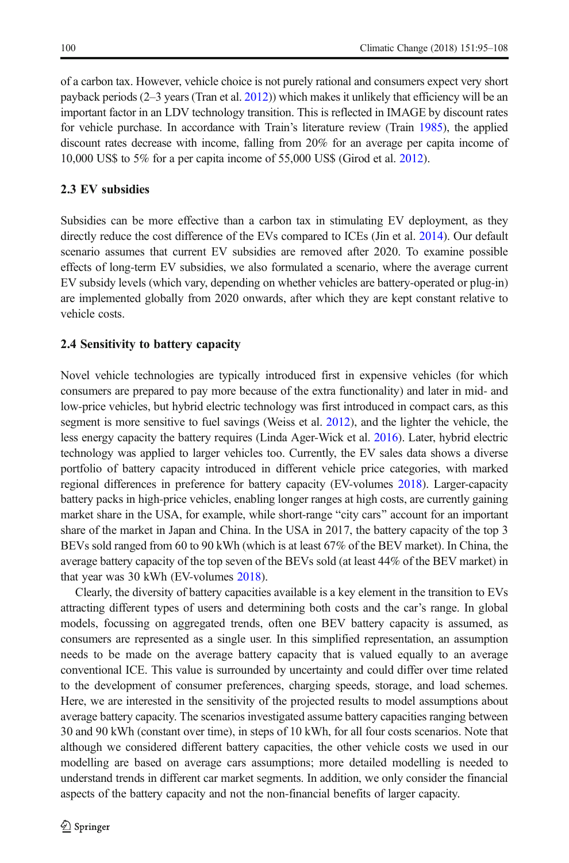of a carbon tax. However, vehicle choice is not purely rational and consumers expect very short payback periods (2–3 years (Tran et al. [2012](#page-13-0))) which makes it unlikely that efficiency will be an important factor in an LDV technology transition. This is reflected in IMAGE by discount rates for vehicle purchase. In accordance with Train's literature review (Train [1985](#page-13-0)), the applied discount rates decrease with income, falling from 20% for an average per capita income of 10,000 US\$ to 5% for a per capita income of 55,000 US\$ (Girod et al. [2012](#page-12-0)).

## 2.3 EV subsidies

Subsidies can be more effective than a carbon tax in stimulating EV deployment, as they directly reduce the cost difference of the EVs compared to ICEs (Jin et al. [2014](#page-12-0)). Our default scenario assumes that current EV subsidies are removed after 2020. To examine possible effects of long-term EV subsidies, we also formulated a scenario, where the average current EV subsidy levels (which vary, depending on whether vehicles are battery-operated or plug-in) are implemented globally from 2020 onwards, after which they are kept constant relative to vehicle costs.

## 2.4 Sensitivity to battery capacity

Novel vehicle technologies are typically introduced first in expensive vehicles (for which consumers are prepared to pay more because of the extra functionality) and later in mid- and low-price vehicles, but hybrid electric technology was first introduced in compact cars, as this segment is more sensitive to fuel savings (Weiss et al. [2012\)](#page-13-0), and the lighter the vehicle, the less energy capacity the battery requires (Linda Ager-Wick et al. [2016\)](#page-12-0). Later, hybrid electric technology was applied to larger vehicles too. Currently, the EV sales data shows a diverse portfolio of battery capacity introduced in different vehicle price categories, with marked regional differences in preference for battery capacity (EV-volumes [2018](#page-12-0)). Larger-capacity battery packs in high-price vehicles, enabling longer ranges at high costs, are currently gaining market share in the USA, for example, while short-range "city cars" account for an important share of the market in Japan and China. In the USA in 2017, the battery capacity of the top 3 BEVs sold ranged from 60 to 90 kWh (which is at least 67% of the BEV market). In China, the average battery capacity of the top seven of the BEVs sold (at least 44% of the BEV market) in that year was 30 kWh (EV-volumes [2018\)](#page-12-0).

Clearly, the diversity of battery capacities available is a key element in the transition to EVs attracting different types of users and determining both costs and the car's range. In global models, focussing on aggregated trends, often one BEV battery capacity is assumed, as consumers are represented as a single user. In this simplified representation, an assumption needs to be made on the average battery capacity that is valued equally to an average conventional ICE. This value is surrounded by uncertainty and could differ over time related to the development of consumer preferences, charging speeds, storage, and load schemes. Here, we are interested in the sensitivity of the projected results to model assumptions about average battery capacity. The scenarios investigated assume battery capacities ranging between 30 and 90 kWh (constant over time), in steps of 10 kWh, for all four costs scenarios. Note that although we considered different battery capacities, the other vehicle costs we used in our modelling are based on average cars assumptions; more detailed modelling is needed to understand trends in different car market segments. In addition, we only consider the financial aspects of the battery capacity and not the non-financial benefits of larger capacity.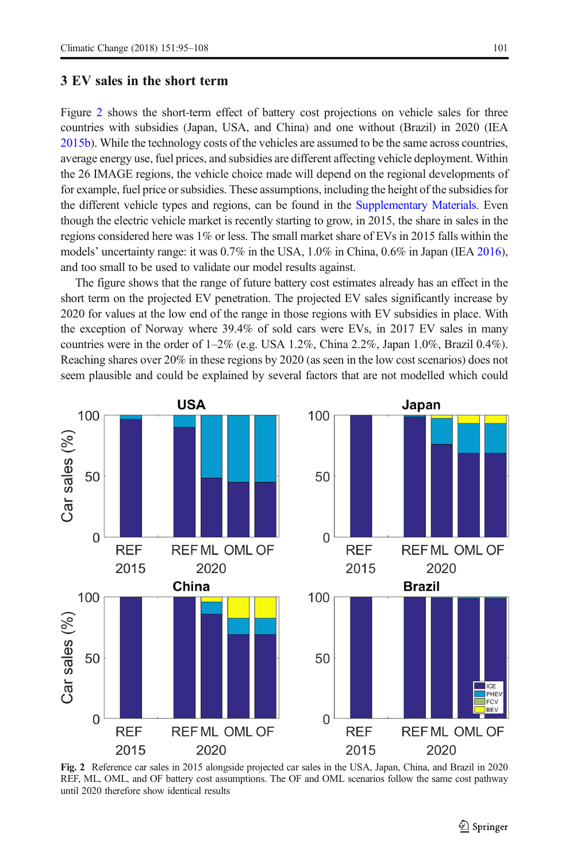### <span id="page-6-0"></span>3 EV sales in the short term

Figure 2 shows the short-term effect of battery cost projections on vehicle sales for three countries with subsidies (Japan, USA, and China) and one without (Brazil) in 2020 (IEA [2015b\)](#page-12-0). While the technology costs of the vehicles are assumed to be the same across countries, average energy use, fuel prices, and subsidies are different affecting vehicle deployment. Within the 26 IMAGE regions, the vehicle choice made will depend on the regional developments of for example, fuel price or subsidies. These assumptions, including the height of the subsidies for the different vehicle types and regions, can be found in the Supplementary Materials. Even though the electric vehicle market is recently starting to grow, in 2015, the share in sales in the regions considered here was 1% or less. The small market share of EVs in 2015 falls within the models' uncertainty range: it was 0.7% in the USA, 1.0% in China, 0.6% in Japan (IEA [2016](#page-12-0)), and too small to be used to validate our model results against.

The figure shows that the range of future battery cost estimates already has an effect in the short term on the projected EV penetration. The projected EV sales significantly increase by 2020 for values at the low end of the range in those regions with EV subsidies in place. With the exception of Norway where 39.4% of sold cars were EVs, in 2017 EV sales in many countries were in the order of  $1-2\%$  (e.g. USA 1.2%, China 2.2%, Japan 1.0%, Brazil 0.4%). Reaching shares over 20% in these regions by 2020 (as seen in the low cost scenarios) does not seem plausible and could be explained by several factors that are not modelled which could



Fig. 2 Reference car sales in 2015 alongside projected car sales in the USA, Japan, China, and Brazil in 2020 REF, ML, OML, and OF battery cost assumptions. The OF and OML scenarios follow the same cost pathway until 2020 therefore show identical results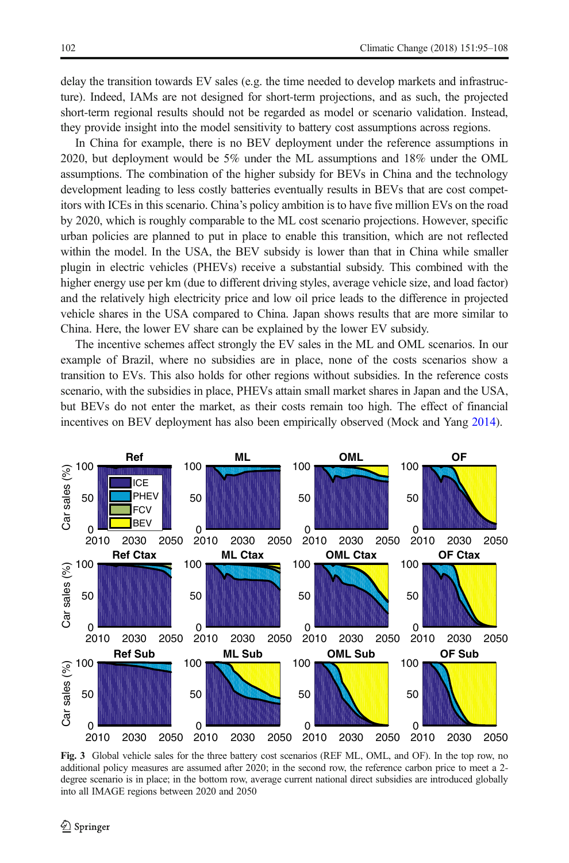<span id="page-7-0"></span>delay the transition towards EV sales (e.g. the time needed to develop markets and infrastructure). Indeed, IAMs are not designed for short-term projections, and as such, the projected short-term regional results should not be regarded as model or scenario validation. Instead, they provide insight into the model sensitivity to battery cost assumptions across regions.

In China for example, there is no BEV deployment under the reference assumptions in 2020, but deployment would be 5% under the ML assumptions and 18% under the OML assumptions. The combination of the higher subsidy for BEVs in China and the technology development leading to less costly batteries eventually results in BEVs that are cost competitors with ICEs in this scenario. China's policy ambition is to have five million EVs on the road by 2020, which is roughly comparable to the ML cost scenario projections. However, specific urban policies are planned to put in place to enable this transition, which are not reflected within the model. In the USA, the BEV subsidy is lower than that in China while smaller plugin in electric vehicles (PHEVs) receive a substantial subsidy. This combined with the higher energy use per km (due to different driving styles, average vehicle size, and load factor) and the relatively high electricity price and low oil price leads to the difference in projected vehicle shares in the USA compared to China. Japan shows results that are more similar to China. Here, the lower EV share can be explained by the lower EV subsidy.

The incentive schemes affect strongly the EV sales in the ML and OML scenarios. In our example of Brazil, where no subsidies are in place, none of the costs scenarios show a transition to EVs. This also holds for other regions without subsidies. In the reference costs scenario, with the subsidies in place, PHEVs attain small market shares in Japan and the USA, but BEVs do not enter the market, as their costs remain too high. The effect of financial incentives on BEV deployment has also been empirically observed (Mock and Yang [2014](#page-12-0)).



Fig. 3 Global vehicle sales for the three battery cost scenarios (REF ML, OML, and OF). In the top row, no additional policy measures are assumed after 2020; in the second row, the reference carbon price to meet a 2 degree scenario is in place; in the bottom row, average current national direct subsidies are introduced globally into all IMAGE regions between 2020 and 2050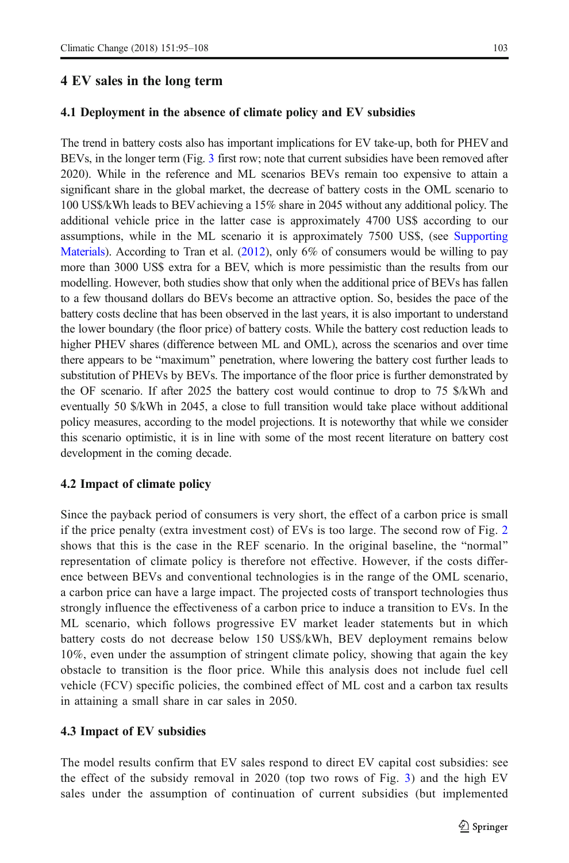## 4.1 Deployment in the absence of climate policy and EV subsidies

The trend in battery costs also has important implications for EV take-up, both for PHEV and BEVs, in the longer term (Fig. [3](#page-7-0) first row; note that current subsidies have been removed after 2020). While in the reference and ML scenarios BEVs remain too expensive to attain a significant share in the global market, the decrease of battery costs in the OML scenario to 100 US\$/kWh leads to BEV achieving a 15% share in 2045 without any additional policy. The additional vehicle price in the latter case is approximately 4700 US\$ according to our assumptions, while in the ML scenario it is approximately 7500 US\$, (see Supporting Materials). According to Tran et al. ([2012](#page-13-0)), only 6% of consumers would be willing to pay more than 3000 US\$ extra for a BEV, which is more pessimistic than the results from our modelling. However, both studies show that only when the additional price of BEVs has fallen to a few thousand dollars do BEVs become an attractive option. So, besides the pace of the battery costs decline that has been observed in the last years, it is also important to understand the lower boundary (the floor price) of battery costs. While the battery cost reduction leads to higher PHEV shares (difference between ML and OML), across the scenarios and over time there appears to be "maximum" penetration, where lowering the battery cost further leads to substitution of PHEVs by BEVs. The importance of the floor price is further demonstrated by the OF scenario. If after 2025 the battery cost would continue to drop to 75 \$/kWh and eventually 50 \$/kWh in 2045, a close to full transition would take place without additional policy measures, according to the model projections. It is noteworthy that while we consider this scenario optimistic, it is in line with some of the most recent literature on battery cost development in the coming decade.

## 4.2 Impact of climate policy

Since the payback period of consumers is very short, the effect of a carbon price is small if the price penalty (extra investment cost) of EVs is too large. The second row of Fig. [2](#page-6-0) shows that this is the case in the REF scenario. In the original baseline, the "normal" representation of climate policy is therefore not effective. However, if the costs difference between BEVs and conventional technologies is in the range of the OML scenario, a carbon price can have a large impact. The projected costs of transport technologies thus strongly influence the effectiveness of a carbon price to induce a transition to EVs. In the ML scenario, which follows progressive EV market leader statements but in which battery costs do not decrease below 150 US\$/kWh, BEV deployment remains below 10%, even under the assumption of stringent climate policy, showing that again the key obstacle to transition is the floor price. While this analysis does not include fuel cell vehicle (FCV) specific policies, the combined effect of ML cost and a carbon tax results in attaining a small share in car sales in 2050.

#### 4.3 Impact of EV subsidies

The model results confirm that EV sales respond to direct EV capital cost subsidies: see the effect of the subsidy removal in 2020 (top two rows of Fig. [3\)](#page-7-0) and the high EV sales under the assumption of continuation of current subsidies (but implemented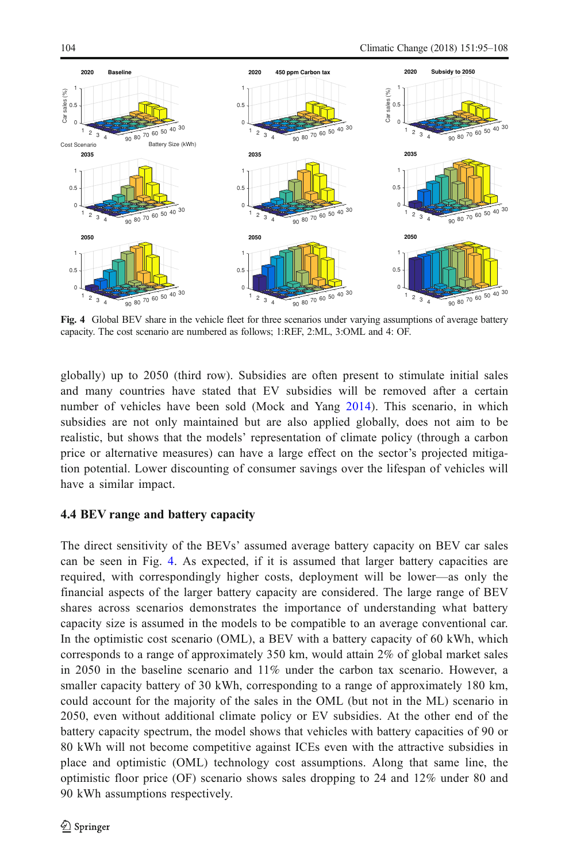

Fig. 4 Global BEV share in the vehicle fleet for three scenarios under varying assumptions of average battery capacity. The cost scenario are numbered as follows; 1:REF, 2:ML, 3:OML and 4: OF.

globally) up to 2050 (third row). Subsidies are often present to stimulate initial sales and many countries have stated that EV subsidies will be removed after a certain number of vehicles have been sold (Mock and Yang [2014\)](#page-12-0). This scenario, in which subsidies are not only maintained but are also applied globally, does not aim to be realistic, but shows that the models' representation of climate policy (through a carbon price or alternative measures) can have a large effect on the sector's projected mitigation potential. Lower discounting of consumer savings over the lifespan of vehicles will have a similar impact.

#### 4.4 BEV range and battery capacity

The direct sensitivity of the BEVs' assumed average battery capacity on BEV car sales can be seen in Fig. 4. As expected, if it is assumed that larger battery capacities are required, with correspondingly higher costs, deployment will be lower—as only the financial aspects of the larger battery capacity are considered. The large range of BEV shares across scenarios demonstrates the importance of understanding what battery capacity size is assumed in the models to be compatible to an average conventional car. In the optimistic cost scenario (OML), a BEV with a battery capacity of 60 kWh, which corresponds to a range of approximately 350 km, would attain 2% of global market sales in 2050 in the baseline scenario and 11% under the carbon tax scenario. However, a smaller capacity battery of 30 kWh, corresponding to a range of approximately 180 km, could account for the majority of the sales in the OML (but not in the ML) scenario in 2050, even without additional climate policy or EV subsidies. At the other end of the battery capacity spectrum, the model shows that vehicles with battery capacities of 90 or 80 kWh will not become competitive against ICEs even with the attractive subsidies in place and optimistic (OML) technology cost assumptions. Along that same line, the optimistic floor price (OF) scenario shows sales dropping to 24 and 12% under 80 and 90 kWh assumptions respectively.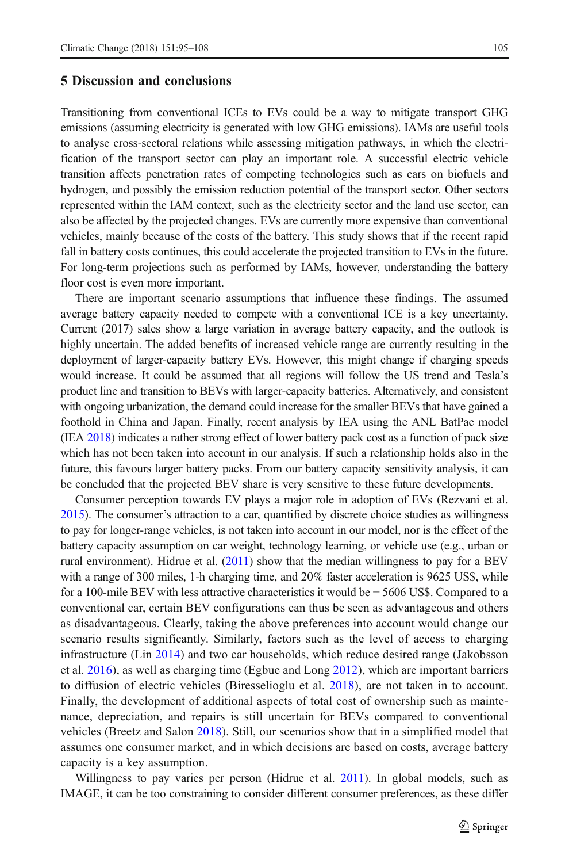#### 5 Discussion and conclusions

Transitioning from conventional ICEs to EVs could be a way to mitigate transport GHG emissions (assuming electricity is generated with low GHG emissions). IAMs are useful tools to analyse cross-sectoral relations while assessing mitigation pathways, in which the electrification of the transport sector can play an important role. A successful electric vehicle transition affects penetration rates of competing technologies such as cars on biofuels and hydrogen, and possibly the emission reduction potential of the transport sector. Other sectors represented within the IAM context, such as the electricity sector and the land use sector, can also be affected by the projected changes. EVs are currently more expensive than conventional vehicles, mainly because of the costs of the battery. This study shows that if the recent rapid fall in battery costs continues, this could accelerate the projected transition to EVs in the future. For long-term projections such as performed by IAMs, however, understanding the battery floor cost is even more important.

There are important scenario assumptions that influence these findings. The assumed average battery capacity needed to compete with a conventional ICE is a key uncertainty. Current (2017) sales show a large variation in average battery capacity, and the outlook is highly uncertain. The added benefits of increased vehicle range are currently resulting in the deployment of larger-capacity battery EVs. However, this might change if charging speeds would increase. It could be assumed that all regions will follow the US trend and Tesla's product line and transition to BEVs with larger-capacity batteries. Alternatively, and consistent with ongoing urbanization, the demand could increase for the smaller BEVs that have gained a foothold in China and Japan. Finally, recent analysis by IEA using the ANL BatPac model (IEA [2018\)](#page-12-0) indicates a rather strong effect of lower battery pack cost as a function of pack size which has not been taken into account in our analysis. If such a relationship holds also in the future, this favours larger battery packs. From our battery capacity sensitivity analysis, it can be concluded that the projected BEV share is very sensitive to these future developments.

Consumer perception towards EV plays a major role in adoption of EVs (Rezvani et al. [2015](#page-12-0)). The consumer's attraction to a car, quantified by discrete choice studies as willingness to pay for longer-range vehicles, is not taken into account in our model, nor is the effect of the battery capacity assumption on car weight, technology learning, or vehicle use (e.g., urban or rural environment). Hidrue et al. [\(2011\)](#page-12-0) show that the median willingness to pay for a BEV with a range of 300 miles, 1-h charging time, and 20% faster acceleration is 9625 US\$, while for a 100-mile BEV with less attractive characteristics it would be − 5606 US\$. Compared to a conventional car, certain BEV configurations can thus be seen as advantageous and others as disadvantageous. Clearly, taking the above preferences into account would change our scenario results significantly. Similarly, factors such as the level of access to charging infrastructure (Lin [2014](#page-12-0)) and two car households, which reduce desired range (Jakobsson et al. [2016\)](#page-12-0), as well as charging time (Egbue and Long [2012\)](#page-12-0), which are important barriers to diffusion of electric vehicles (Biresselioglu et al. [2018\)](#page-11-0), are not taken in to account. Finally, the development of additional aspects of total cost of ownership such as maintenance, depreciation, and repairs is still uncertain for BEVs compared to conventional vehicles (Breetz and Salon [2018](#page-12-0)). Still, our scenarios show that in a simplified model that assumes one consumer market, and in which decisions are based on costs, average battery capacity is a key assumption.

Willingness to pay varies per person (Hidrue et al. [2011](#page-12-0)). In global models, such as IMAGE, it can be too constraining to consider different consumer preferences, as these differ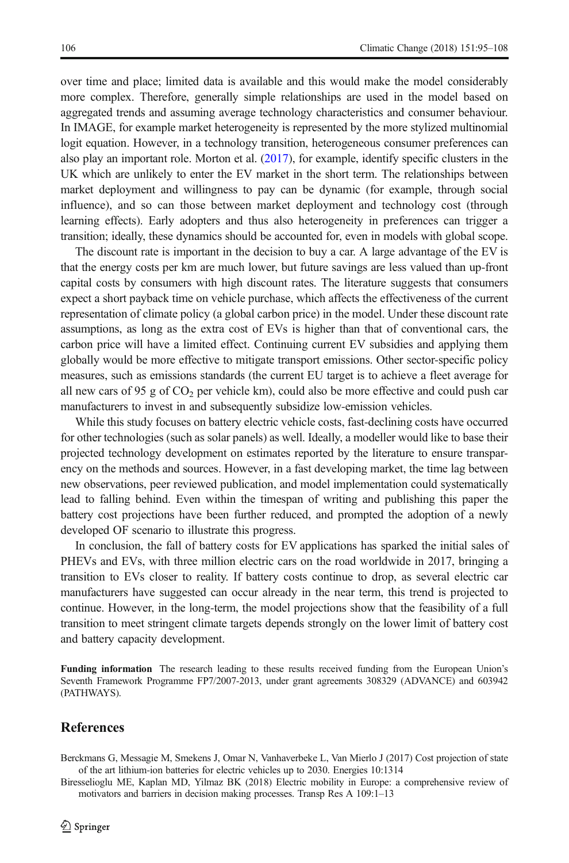<span id="page-11-0"></span>over time and place; limited data is available and this would make the model considerably more complex. Therefore, generally simple relationships are used in the model based on aggregated trends and assuming average technology characteristics and consumer behaviour. In IMAGE, for example market heterogeneity is represented by the more stylized multinomial logit equation. However, in a technology transition, heterogeneous consumer preferences can also play an important role. Morton et al. [\(2017\)](#page-12-0), for example, identify specific clusters in the UK which are unlikely to enter the EV market in the short term. The relationships between market deployment and willingness to pay can be dynamic (for example, through social influence), and so can those between market deployment and technology cost (through learning effects). Early adopters and thus also heterogeneity in preferences can trigger a transition; ideally, these dynamics should be accounted for, even in models with global scope.

The discount rate is important in the decision to buy a car. A large advantage of the EV is that the energy costs per km are much lower, but future savings are less valued than up-front capital costs by consumers with high discount rates. The literature suggests that consumers expect a short payback time on vehicle purchase, which affects the effectiveness of the current representation of climate policy (a global carbon price) in the model. Under these discount rate assumptions, as long as the extra cost of EVs is higher than that of conventional cars, the carbon price will have a limited effect. Continuing current EV subsidies and applying them globally would be more effective to mitigate transport emissions. Other sector-specific policy measures, such as emissions standards (the current EU target is to achieve a fleet average for all new cars of 95 g of  $CO<sub>2</sub>$  per vehicle km), could also be more effective and could push car manufacturers to invest in and subsequently subsidize low-emission vehicles.

While this study focuses on battery electric vehicle costs, fast-declining costs have occurred for other technologies (such as solar panels) as well. Ideally, a modeller would like to base their projected technology development on estimates reported by the literature to ensure transparency on the methods and sources. However, in a fast developing market, the time lag between new observations, peer reviewed publication, and model implementation could systematically lead to falling behind. Even within the timespan of writing and publishing this paper the battery cost projections have been further reduced, and prompted the adoption of a newly developed OF scenario to illustrate this progress.

In conclusion, the fall of battery costs for EV applications has sparked the initial sales of PHEVs and EVs, with three million electric cars on the road worldwide in 2017, bringing a transition to EVs closer to reality. If battery costs continue to drop, as several electric car manufacturers have suggested can occur already in the near term, this trend is projected to continue. However, in the long-term, the model projections show that the feasibility of a full transition to meet stringent climate targets depends strongly on the lower limit of battery cost and battery capacity development.

Funding information The research leading to these results received funding from the European Union's Seventh Framework Programme FP7/2007-2013, under grant agreements 308329 (ADVANCE) and 603942 (PATHWAYS).

## References

- Berckmans G, Messagie M, Smekens J, Omar N, Vanhaverbeke L, Van Mierlo J (2017) Cost projection of state of the art lithium-ion batteries for electric vehicles up to 2030. Energies 10:1314
- Biresselioglu ME, Kaplan MD, Yilmaz BK (2018) Electric mobility in Europe: a comprehensive review of motivators and barriers in decision making processes. Transp Res A 109:1–13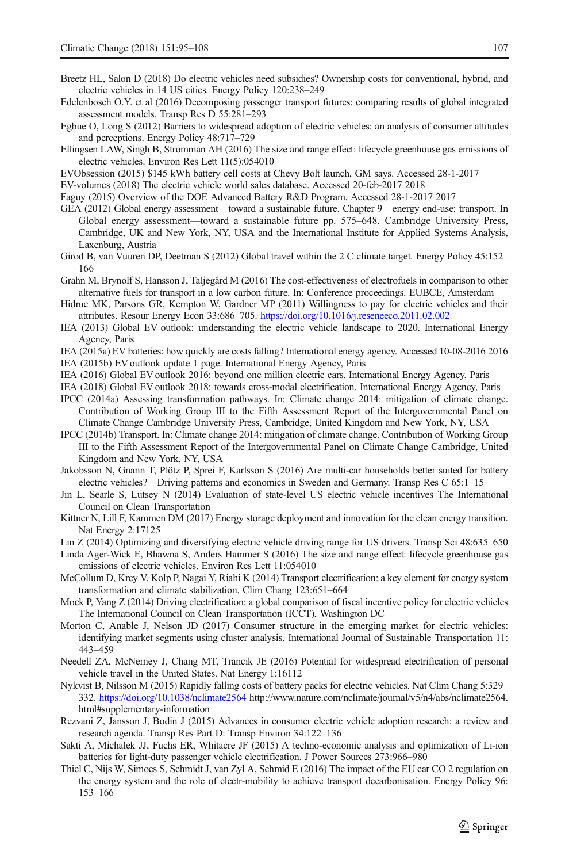- <span id="page-12-0"></span>Breetz HL, Salon D (2018) Do electric vehicles need subsidies? Ownership costs for conventional, hybrid, and electric vehicles in 14 US cities. Energy Policy 120:238–249
- Edelenbosch O.Y. et al (2016) Decomposing passenger transport futures: comparing results of global integrated assessment models. Transp Res D 55:281–293
- Egbue O, Long S (2012) Barriers to widespread adoption of electric vehicles: an analysis of consumer attitudes and perceptions. Energy Policy 48:717–729
- Ellingsen LAW, Singh B, Strømman AH (2016) The size and range effect: lifecycle greenhouse gas emissions of electric vehicles. Environ Res Lett 11(5):054010
- EVObsession (2015) \$145 kWh battery cell costs at Chevy Bolt launch, GM says. Accessed 28-1-2017

EV-volumes (2018) The electric vehicle world sales database. Accessed 20-feb-2017 2018

- Faguy (2015) Overview of the DOE Advanced Battery R&D Program. Accessed 28-1-2017 2017
- GEA (2012) Global energy assessment—toward a sustainable future. Chapter 9—energy end-use: transport. In Global energy assessment—toward a sustainable future pp. 575–648. Cambridge University Press, Cambridge, UK and New York, NY, USA and the International Institute for Applied Systems Analysis, Laxenburg, Austria
- Girod B, van Vuuren DP, Deetman S (2012) Global travel within the 2 C climate target. Energy Policy 45:152– 166
- Grahn M, Brynolf S, Hansson J, Taljegård M (2016) The cost-effectiveness of electrofuels in comparison to other alternative fuels for transport in a low carbon future. In: Conference proceedings. EUBCE, Amsterdam
- Hidrue MK, Parsons GR, Kempton W, Gardner MP (2011) Willingness to pay for electric vehicles and their attributes. Resour Energy Econ 33:686–705. <https://doi.org/10.1016/j.reseneeco.2011.02.002>
- IEA (2013) Global EV outlook: understanding the electric vehicle landscape to 2020. International Energy Agency, Paris
- IEA (2015a) EV batteries: how quickly are costs falling? International energy agency. Accessed 10-08-2016 2016
- IEA (2015b) EV outlook update 1 page. International Energy Agency, Paris
- IEA (2016) Global EV outlook 2016: beyond one million electric cars. International Energy Agency, Paris
- IEA (2018) Global EV outlook 2018: towards cross-modal electrification. International Energy Agency, Paris
- IPCC (2014a) Assessing transformation pathways. In: Climate change 2014: mitigation of climate change. Contribution of Working Group III to the Fifth Assessment Report of the Intergovernmental Panel on Climate Change Cambridge University Press, Cambridge, United Kingdom and New York, NY, USA
- IPCC (2014b) Transport. In: Climate change 2014: mitigation of climate change. Contribution of Working Group III to the Fifth Assessment Report of the Intergovernmental Panel on Climate Change Cambridge, United Kingdom and New York, NY, USA
- Jakobsson N, Gnann T, Plötz P, Sprei F, Karlsson S (2016) Are multi-car households better suited for battery electric vehicles?—Driving patterns and economics in Sweden and Germany. Transp Res C 65:1–15
- Jin L, Searle S, Lutsey N (2014) Evaluation of state-level US electric vehicle incentives The International Council on Clean Transportation
- Kittner N, Lill F, Kammen DM (2017) Energy storage deployment and innovation for the clean energy transition. Nat Energy 2:17125
- Lin Z (2014) Optimizing and diversifying electric vehicle driving range for US drivers. Transp Sci 48:635–650
- Linda Ager-Wick E, Bhawna S, Anders Hammer S (2016) The size and range effect: lifecycle greenhouse gas emissions of electric vehicles. Environ Res Lett 11:054010
- McCollum D, Krey V, Kolp P, Nagai Y, Riahi K (2014) Transport electrification: a key element for energy system transformation and climate stabilization. Clim Chang 123:651–664
- Mock P, Yang Z (2014) Driving electrification: a global comparison of fiscal incentive policy for electric vehicles The International Council on Clean Transportation (ICCT), Washington DC
- Morton C, Anable J, Nelson JD (2017) Consumer structure in the emerging market for electric vehicles: identifying market segments using cluster analysis. International Journal of Sustainable Transportation 11: 443–459
- Needell ZA, McNerney J, Chang MT, Trancik JE (2016) Potential for widespread electrification of personal vehicle travel in the United States. Nat Energy 1:16112
- Nykvist B, Nilsson M (2015) Rapidly falling costs of battery packs for electric vehicles. Nat Clim Chang 5:329– 332. <https://doi.org/10.1038/nclimate2564> http://www.nature.com/nclimate/journal/v5/n4/abs/nclimate2564. html#supplementary-information
- Rezvani Z, Jansson J, Bodin J (2015) Advances in consumer electric vehicle adoption research: a review and research agenda. Transp Res Part D: Transp Environ 34:122–136
- Sakti A, Michalek JJ, Fuchs ER, Whitacre JF (2015) A techno-economic analysis and optimization of Li-ion batteries for light-duty passenger vehicle electrification. J Power Sources 273:966–980
- Thiel C, Nijs W, Simoes S, Schmidt J, van Zyl A, Schmid E (2016) The impact of the EU car CO 2 regulation on the energy system and the role of electr-mobility to achieve transport decarbonisation. Energy Policy 96: 153–166